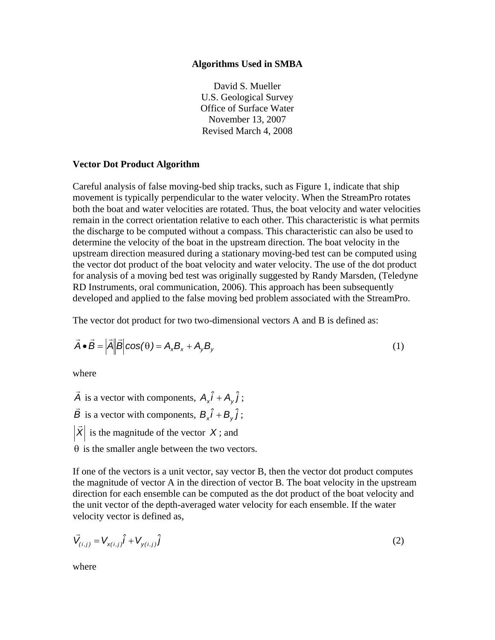### **Algorithms Used in SMBA**

David S. Mueller U.S. Geological Survey Office of Surface Water November 13, 2007 Revised March 4, 2008

## **Vector Dot Product Algorithm**

Careful analysis of false moving-bed ship tracks, such as Figure 1, indicate that ship movement is typically perpendicular to the water velocity. When the StreamPro rotates both the boat and water velocities are rotated. Thus, the boat velocity and water velocities remain in the correct orientation relative to each other. This characteristic is what permits the discharge to be computed without a compass. This characteristic can also be used to determine the velocity of the boat in the upstream direction. The boat velocity in the upstream direction measured during a stationary moving-bed test can be computed using the vector dot product of the boat velocity and water velocity. The use of the dot product for analysis of a moving bed test was originally suggested by Randy Marsden, (Teledyne RD Instruments, oral communication, 2006). This approach has been subsequently developed and applied to the false moving bed problem associated with the StreamPro.

The vector dot product for two two-dimensional vectors A and B is defined as:

$$
\vec{A} \cdot \vec{B} = |\vec{A}| |\vec{B}| \cos(\theta) = A_x B_x + A_y B_y
$$
\n(1)

where

*A*  $\vec{A}$  is a vector with components,  $A_x \hat{i} + A_y \hat{j}$ ;

*B*  $\vec{B}$  is a vector with components,  $B_x \hat{i} + B_y \hat{j}$ ;

 $\overrightarrow{X}$  is the magnitude of the vector *X*; and

 $\theta$  is the smaller angle between the two vectors.

If one of the vectors is a unit vector, say vector B, then the vector dot product computes the magnitude of vector A in the direction of vector B. The boat velocity in the upstream direction for each ensemble can be computed as the dot product of the boat velocity and the unit vector of the depth-averaged water velocity for each ensemble. If the water velocity vector is defined as,

$$
\vec{V}_{(i,j)} = V_{x(i,j)}\hat{i} + V_{y(i,j)}\hat{j}
$$
 (2)

where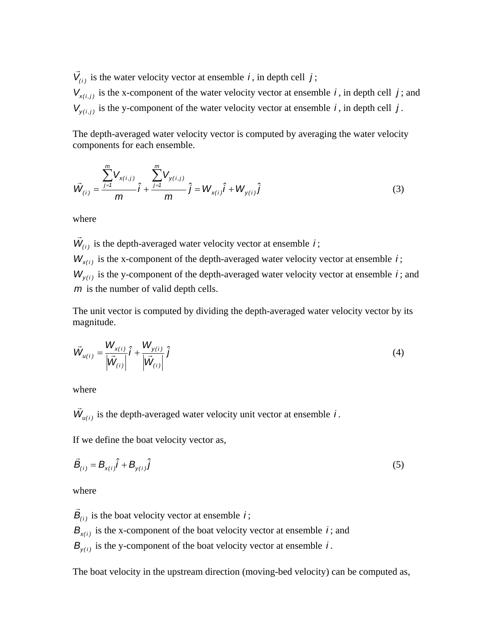$\vec{V}_{(i)}$  is the water velocity vector at ensemble *i*, in depth cell *j*;  $V_{x(i,j)}$  is the x-component of the water velocity vector at ensemble *i*, in depth cell *j*; and  $V_{\nu(i,j)}$  is the y-component of the water velocity vector at ensemble *i*, in depth cell *j*.

The depth-averaged water velocity vector is computed by averaging the water velocity components for each ensemble.

$$
\vec{W}_{(i)} = \frac{\sum_{j=1}^{m} V_{x(i,j)}}{m} \hat{i} + \frac{\sum_{j=1}^{m} V_{y(i,j)}}{m} \hat{j} = W_{x(i)} \hat{i} + W_{y(i)} \hat{j}
$$
(3)

where

 $\vec{W}_{(i)}$  is the depth-averaged water velocity vector at ensemble *i*;

 $W_{x(i)}$  is the x-component of the depth-averaged water velocity vector at ensemble *i*;  $W_{\nu(i)}$  is the y-component of the depth-averaged water velocity vector at ensemble *i*; and *m* is the number of valid depth cells.

The unit vector is computed by dividing the depth-averaged water velocity vector by its magnitude.

$$
\vec{W}_{u(i)} = \frac{W_{x(i)}}{|\vec{W}_{(i)}|} \hat{i} + \frac{W_{y(i)}}{|\vec{W}_{(i)}|} \hat{j}
$$
\n(4)

where

 $\vec{W}_{u(i)}$  is the depth-averaged water velocity unit vector at ensemble *i*.

If we define the boat velocity vector as,

$$
\vec{B}_{(i)} = B_{x(i)}\hat{i} + B_{y(i)}\hat{j}
$$
 (5)

where

 $\vec{B}_{(i)}$  is the boat velocity vector at ensemble *i*;  $B_{x(i)}$  is the x-component of the boat velocity vector at ensemble *i*; and  $B_{\nu(i)}$  is the y-component of the boat velocity vector at ensemble *i*.

The boat velocity in the upstream direction (moving-bed velocity) can be computed as,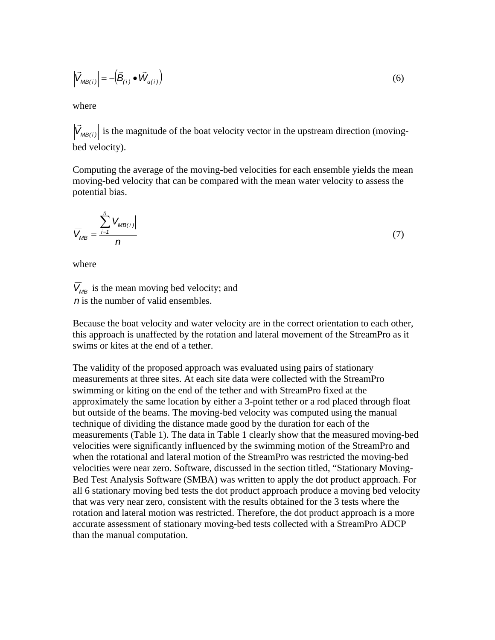$$
\left| \vec{V}_{MB(i)} \right| = -\left( \vec{B}_{(i)} \bullet \vec{W}_{u(i)} \right)
$$
\n(6)

where

 $|\vec{V}_{MB(i)}|$  is the magnitude of the boat velocity vector in the upstream direction (movingbed velocity).

Computing the average of the moving-bed velocities for each ensemble yields the mean moving-bed velocity that can be compared with the mean water velocity to assess the potential bias.

$$
\overline{V}_{MB} = \frac{\sum_{i=1}^{n} |V_{MB(i)}|}{n}
$$
 (7)

where

 $\overline{V}_{MB}$  is the mean moving bed velocity; and *n* is the number of valid ensembles.

Because the boat velocity and water velocity are in the correct orientation to each other, this approach is unaffected by the rotation and lateral movement of the StreamPro as it swims or kites at the end of a tether.

The validity of the proposed approach was evaluated using pairs of stationary measurements at three sites. At each site data were collected with the StreamPro swimming or kiting on the end of the tether and with StreamPro fixed at the approximately the same location by either a 3-point tether or a rod placed through float but outside of the beams. The moving-bed velocity was computed using the manual technique of dividing the distance made good by the duration for each of the measurements (Table 1). The data in Table 1 clearly show that the measured moving-bed velocities were significantly influenced by the swimming motion of the StreamPro and when the rotational and lateral motion of the StreamPro was restricted the moving-bed velocities were near zero. Software, discussed in the section titled, "Stationary Moving-Bed Test Analysis Software (SMBA) was written to apply the dot product approach. For all 6 stationary moving bed tests the dot product approach produce a moving bed velocity that was very near zero, consistent with the results obtained for the 3 tests where the rotation and lateral motion was restricted. Therefore, the dot product approach is a more accurate assessment of stationary moving-bed tests collected with a StreamPro ADCP than the manual computation.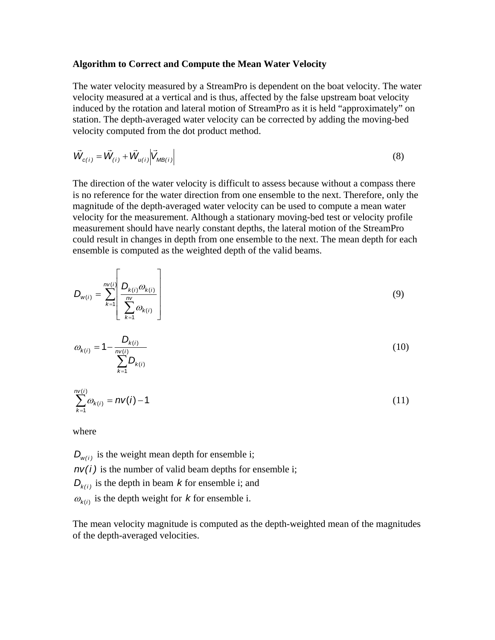#### **Algorithm to Correct and Compute the Mean Water Velocity**

The water velocity measured by a StreamPro is dependent on the boat velocity. The water velocity measured at a vertical and is thus, affected by the false upstream boat velocity induced by the rotation and lateral motion of StreamPro as it is held "approximately" on station. The depth-averaged water velocity can be corrected by adding the moving-bed velocity computed from the dot product method.

$$
\vec{W}_{c(i)} = \vec{W}_{(i)} + \vec{W}_{u(i)} \left| \vec{V}_{MB(i)} \right|
$$
\n(8)

The direction of the water velocity is difficult to assess because without a compass there is no reference for the water direction from one ensemble to the next. Therefore, only the magnitude of the depth-averaged water velocity can be used to compute a mean water velocity for the measurement. Although a stationary moving-bed test or velocity profile measurement should have nearly constant depths, the lateral motion of the StreamPro could result in changes in depth from one ensemble to the next. The mean depth for each ensemble is computed as the weighted depth of the valid beams.

$$
D_{w(i)} = \sum_{k=1}^{n\vee(i)} \left[ \frac{D_{k(i)}\omega_{k(i)}}{\sum_{k=1}^{n\vee}\omega_{k(i)}} \right]
$$
(9)

$$
\omega_{k(i)} = 1 - \frac{D_{k(i)}}{\sum_{k=1}^{nV(i)} D_{k(i)}} \tag{10}
$$

$$
\sum_{k=1}^{n\vee(i)} \omega_{k(i)} = n\nu(i) - 1 \tag{11}
$$

where

 $D_{w(i)}$  is the weight mean depth for ensemble i;  $n\nu(i)$  is the number of valid beam depths for ensemble i;  $D_{k(i)}$  is the depth in beam *k* for ensemble i; and  $\omega_{k(i)}$  is the depth weight for *k* for ensemble i.

The mean velocity magnitude is computed as the depth-weighted mean of the magnitudes of the depth-averaged velocities.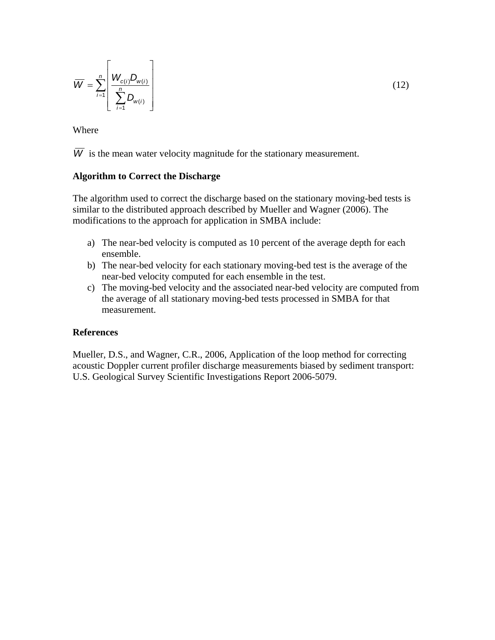$$
\overline{W} = \sum_{i=1}^{n} \left[ \frac{W_{c(i)} D_{w(i)}}{\sum_{i=1}^{n} D_{w(i)}} \right]
$$
(12)

Where

 $\overline{W}$  is the mean water velocity magnitude for the stationary measurement.

## **Algorithm to Correct the Discharge**

The algorithm used to correct the discharge based on the stationary moving-bed tests is similar to the distributed approach described by Mueller and Wagner (2006). The modifications to the approach for application in SMBA include:

- a) The near-bed velocity is computed as 10 percent of the average depth for each ensemble.
- b) The near-bed velocity for each stationary moving-bed test is the average of the near-bed velocity computed for each ensemble in the test.
- c) The moving-bed velocity and the associated near-bed velocity are computed from the average of all stationary moving-bed tests processed in SMBA for that measurement.

# **References**

Mueller, D.S., and Wagner, C.R., 2006, Application of the loop method for correcting acoustic Doppler current profiler discharge measurements biased by sediment transport: U.S. Geological Survey Scientific Investigations Report 2006-5079.